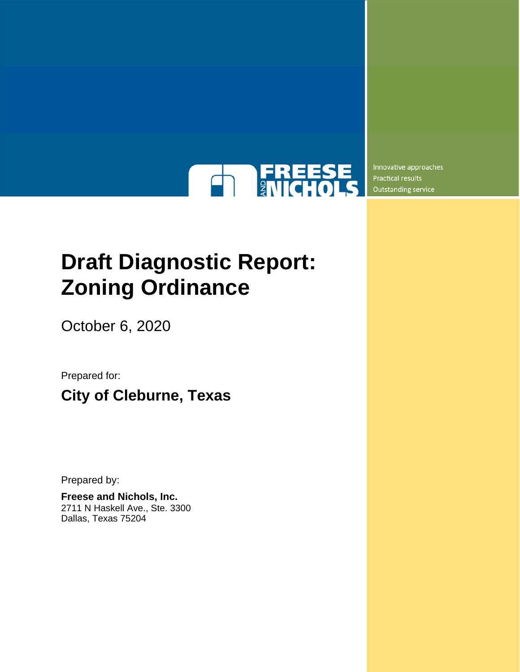

Innovative approaches **Practical results Outstanding service** 

# **Draft Diagnostic Report: Zoning Ordinance**

October 6, 2020

Prepared for:

**City of Cleburne, Texas** 

Prepared by:

**Freese and Nichols, Inc.** 2711 N Haskell Ave., Ste. 3300 Dallas, Texas 75204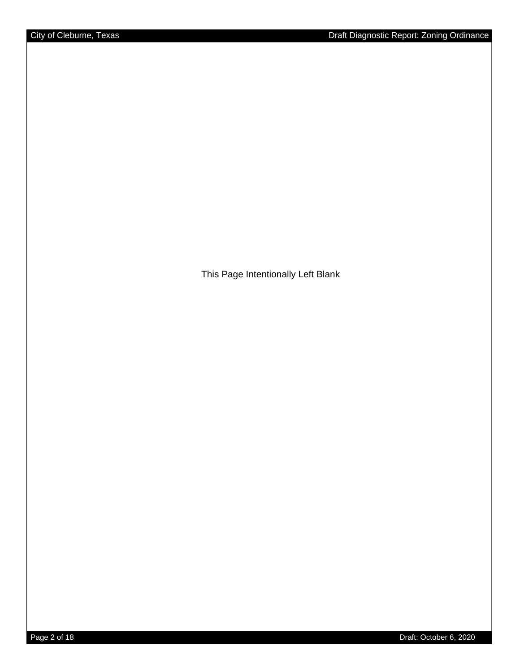This Page Intentionally Left Blank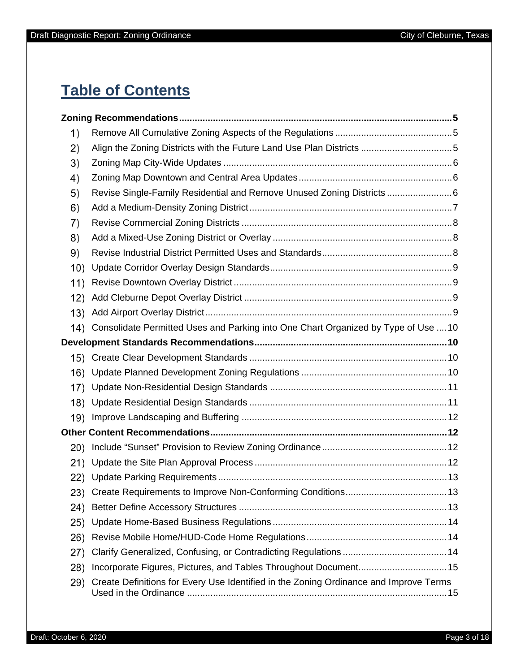## **Table of Contents**

| 1)  |                                                                                       |  |
|-----|---------------------------------------------------------------------------------------|--|
| 2)  |                                                                                       |  |
| 3)  |                                                                                       |  |
| 4)  |                                                                                       |  |
| 5)  | Revise Single-Family Residential and Remove Unused Zoning Districts                   |  |
| 6)  |                                                                                       |  |
| 7)  |                                                                                       |  |
| 8)  |                                                                                       |  |
| 9)  |                                                                                       |  |
| 10) |                                                                                       |  |
| 11) |                                                                                       |  |
| 12) |                                                                                       |  |
| 13) |                                                                                       |  |
| 14) | Consolidate Permitted Uses and Parking into One Chart Organized by Type of Use  10    |  |
|     |                                                                                       |  |
|     |                                                                                       |  |
| 16) |                                                                                       |  |
| 17) |                                                                                       |  |
| 18) |                                                                                       |  |
| 19) |                                                                                       |  |
|     |                                                                                       |  |
| 20) |                                                                                       |  |
| 21) |                                                                                       |  |
| 22) |                                                                                       |  |
|     | 23) Create Requirements to Improve Non-Conforming Conditions<br>. 13                  |  |
| 24) |                                                                                       |  |
| 25) |                                                                                       |  |
| 26) |                                                                                       |  |
| 27) |                                                                                       |  |
| 28) |                                                                                       |  |
| 29) | Create Definitions for Every Use Identified in the Zoning Ordinance and Improve Terms |  |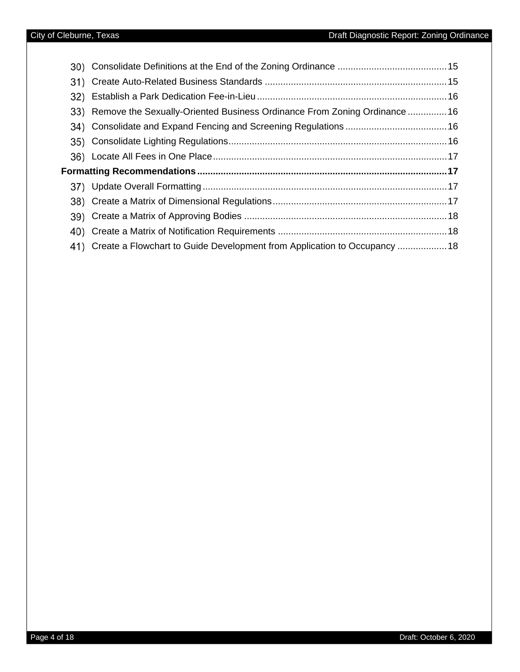|  | 33) Remove the Sexually-Oriented Business Ordinance From Zoning Ordinance  16<br>41) Create a Flowchart to Guide Development from Application to Occupancy  18 |  |  |
|--|----------------------------------------------------------------------------------------------------------------------------------------------------------------|--|--|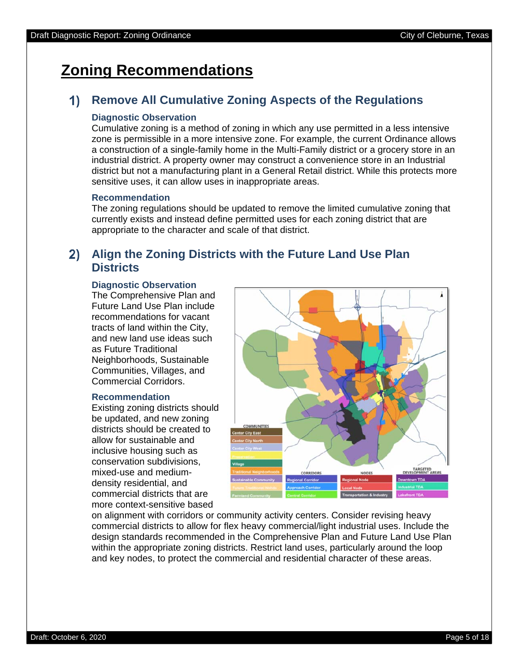## **Zoning Recommendations**

### **Remove All Cumulative Zoning Aspects of the Regulations**

#### **Diagnostic Observation**

Cumulative zoning is a method of zoning in which any use permitted in a less intensive zone is permissible in a more intensive zone. For example, the current Ordinance allows a construction of a single-family home in the Multi-Family district or a grocery store in an industrial district. A property owner may construct a convenience store in an Industrial district but not a manufacturing plant in a General Retail district. While this protects more sensitive uses, it can allow uses in inappropriate areas.

#### **Recommendation**

The zoning regulations should be updated to remove the limited cumulative zoning that currently exists and instead define permitted uses for each zoning district that are appropriate to the character and scale of that district.

### **Align the Zoning Districts with the Future Land Use Plan Districts**

#### **Diagnostic Observation**

The Comprehensive Plan and Future Land Use Plan include recommendations for vacant tracts of land within the City, and new land use ideas such as Future Traditional Neighborhoods, Sustainable Communities, Villages, and Commercial Corridors.

#### **Recommendation**

Existing zoning districts should be updated, and new zoning districts should be created to allow for sustainable and inclusive housing such as conservation subdivisions, mixed-use and mediumdensity residential, and commercial districts that are more context-sensitive based



on alignment with corridors or community activity centers. Consider revising heavy commercial districts to allow for flex heavy commercial/light industrial uses. Include the design standards recommended in the Comprehensive Plan and Future Land Use Plan within the appropriate zoning districts. Restrict land uses, particularly around the loop and key nodes, to protect the commercial and residential character of these areas.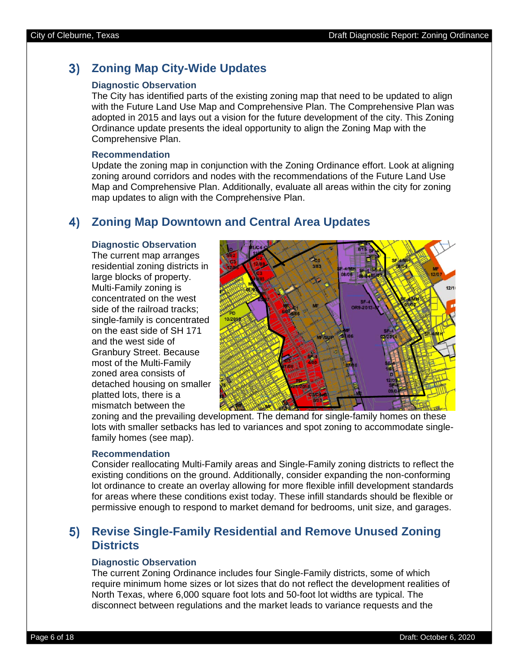### **Zoning Map City-Wide Updates**

#### **Diagnostic Observation**

The City has identified parts of the existing zoning map that need to be updated to align with the Future Land Use Map and Comprehensive Plan. The Comprehensive Plan was adopted in 2015 and lays out a vision for the future development of the city. This Zoning Ordinance update presents the ideal opportunity to align the Zoning Map with the Comprehensive Plan.

#### **Recommendation**

Update the zoning map in conjunction with the Zoning Ordinance effort. Look at aligning zoning around corridors and nodes with the recommendations of the Future Land Use Map and Comprehensive Plan. Additionally, evaluate all areas within the city for zoning map updates to align with the Comprehensive Plan.

### **Zoning Map Downtown and Central Area Updates**

#### **Diagnostic Observation**

The current map arranges residential zoning districts in large blocks of property. Multi-Family zoning is concentrated on the west side of the railroad tracks; single-family is concentrated on the east side of SH 171 and the west side of Granbury Street. Because most of the Multi-Family zoned area consists of detached housing on smaller platted lots, there is a mismatch between the



zoning and the prevailing development. The demand for single-family homes on these lots with smaller setbacks has led to variances and spot zoning to accommodate singlefamily homes (see map).

#### **Recommendation**

Consider reallocating Multi-Family areas and Single-Family zoning districts to reflect the existing conditions on the ground. Additionally, consider expanding the non-conforming lot ordinance to create an overlay allowing for more flexible infill development standards for areas where these conditions exist today. These infill standards should be flexible or permissive enough to respond to market demand for bedrooms, unit size, and garages.

### **Revise Single-Family Residential and Remove Unused Zoning Districts**

#### **Diagnostic Observation**

The current Zoning Ordinance includes four Single-Family districts, some of which require minimum home sizes or lot sizes that do not reflect the development realities of North Texas, where 6,000 square foot lots and 50-foot lot widths are typical. The disconnect between regulations and the market leads to variance requests and the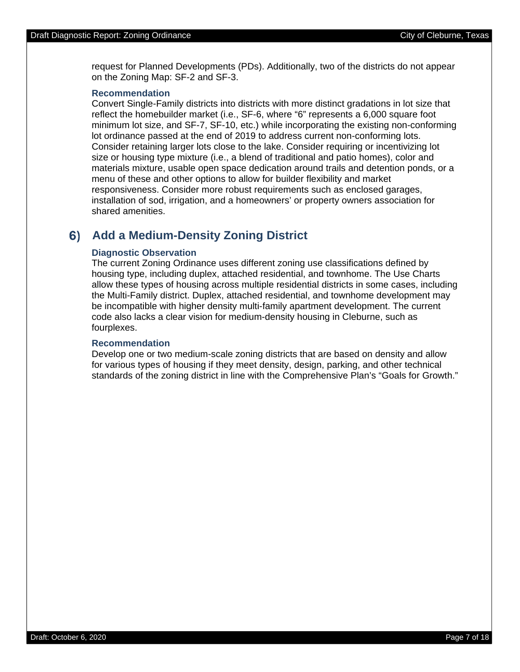request for Planned Developments (PDs). Additionally, two of the districts do not appear on the Zoning Map: SF-2 and SF-3.

#### **Recommendation**

Convert Single-Family districts into districts with more distinct gradations in lot size that reflect the homebuilder market (i.e., SF-6, where "6" represents a 6,000 square foot minimum lot size, and SF-7, SF-10, etc.) while incorporating the existing non-conforming lot ordinance passed at the end of 2019 to address current non-conforming lots. Consider retaining larger lots close to the lake. Consider requiring or incentivizing lot size or housing type mixture (i.e., a blend of traditional and patio homes), color and materials mixture, usable open space dedication around trails and detention ponds, or a menu of these and other options to allow for builder flexibility and market responsiveness. Consider more robust requirements such as enclosed garages, installation of sod, irrigation, and a homeowners' or property owners association for shared amenities.

### **Add a Medium-Density Zoning District**

#### **Diagnostic Observation**

The current Zoning Ordinance uses different zoning use classifications defined by housing type, including duplex, attached residential, and townhome. The Use Charts allow these types of housing across multiple residential districts in some cases, including the Multi-Family district. Duplex, attached residential, and townhome development may be incompatible with higher density multi-family apartment development. The current code also lacks a clear vision for medium-density housing in Cleburne, such as fourplexes.

#### **Recommendation**

Develop one or two medium-scale zoning districts that are based on density and allow for various types of housing if they meet density, design, parking, and other technical standards of the zoning district in line with the Comprehensive Plan's "Goals for Growth."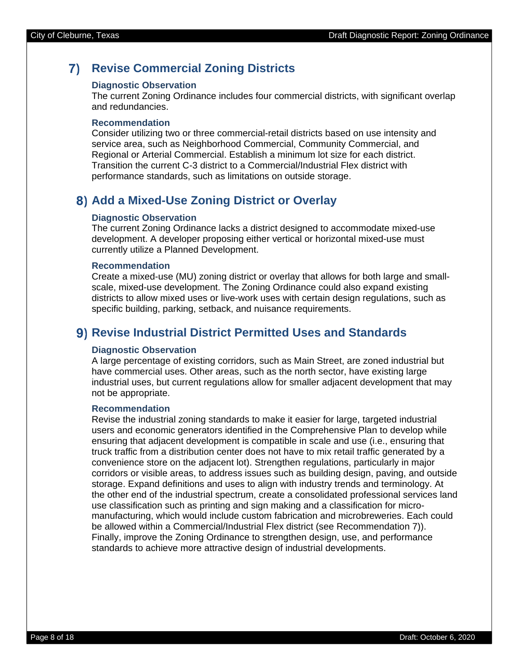### **Revise Commercial Zoning Districts**

#### **Diagnostic Observation**

The current Zoning Ordinance includes four commercial districts, with significant overlap and redundancies.

#### **Recommendation**

Consider utilizing two or three commercial-retail districts based on use intensity and service area, such as Neighborhood Commercial, Community Commercial, and Regional or Arterial Commercial. Establish a minimum lot size for each district. Transition the current C-3 district to a Commercial/Industrial Flex district with performance standards, such as limitations on outside storage.

### **Add a Mixed-Use Zoning District or Overlay**

#### **Diagnostic Observation**

The current Zoning Ordinance lacks a district designed to accommodate mixed-use development. A developer proposing either vertical or horizontal mixed-use must currently utilize a Planned Development.

#### **Recommendation**

Create a mixed-use (MU) zoning district or overlay that allows for both large and smallscale, mixed-use development. The Zoning Ordinance could also expand existing districts to allow mixed uses or live-work uses with certain design regulations, such as specific building, parking, setback, and nuisance requirements.

### **Revise Industrial District Permitted Uses and Standards**

#### **Diagnostic Observation**

A large percentage of existing corridors, such as Main Street, are zoned industrial but have commercial uses. Other areas, such as the north sector, have existing large industrial uses, but current regulations allow for smaller adjacent development that may not be appropriate.

#### **Recommendation**

Revise the industrial zoning standards to make it easier for large, targeted industrial users and economic generators identified in the Comprehensive Plan to develop while ensuring that adjacent development is compatible in scale and use (i.e., ensuring that truck traffic from a distribution center does not have to mix retail traffic generated by a convenience store on the adjacent lot). Strengthen regulations, particularly in major corridors or visible areas, to address issues such as building design, paving, and outside storage. Expand definitions and uses to align with industry trends and terminology. At the other end of the industrial spectrum, create a consolidated professional services land use classification such as printing and sign making and a classification for micromanufacturing, which would include custom fabrication and microbreweries. Each could be allowed within a Commercial/Industrial Flex district (see Recommendation 7)). Finally, improve the Zoning Ordinance to strengthen design, use, and performance standards to achieve more attractive design of industrial developments.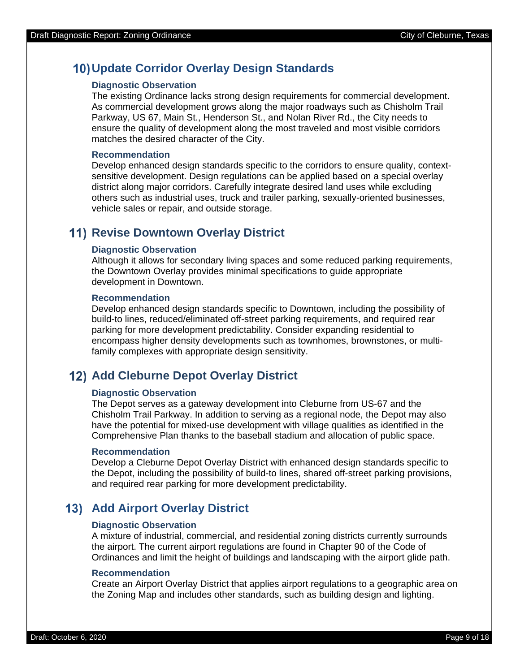### **Update Corridor Overlay Design Standards**

#### **Diagnostic Observation**

The existing Ordinance lacks strong design requirements for commercial development. As commercial development grows along the major roadways such as Chisholm Trail Parkway, US 67, Main St., Henderson St., and Nolan River Rd., the City needs to ensure the quality of development along the most traveled and most visible corridors matches the desired character of the City.

#### **Recommendation**

Develop enhanced design standards specific to the corridors to ensure quality, contextsensitive development. Design regulations can be applied based on a special overlay district along major corridors. Carefully integrate desired land uses while excluding others such as industrial uses, truck and trailer parking, sexually-oriented businesses, vehicle sales or repair, and outside storage.

### **Revise Downtown Overlay District**

#### **Diagnostic Observation**

Although it allows for secondary living spaces and some reduced parking requirements, the Downtown Overlay provides minimal specifications to guide appropriate development in Downtown.

#### **Recommendation**

Develop enhanced design standards specific to Downtown, including the possibility of build-to lines, reduced/eliminated off-street parking requirements, and required rear parking for more development predictability. Consider expanding residential to encompass higher density developments such as townhomes, brownstones, or multifamily complexes with appropriate design sensitivity.

### **Add Cleburne Depot Overlay District**

#### **Diagnostic Observation**

The Depot serves as a gateway development into Cleburne from US-67 and the Chisholm Trail Parkway. In addition to serving as a regional node, the Depot may also have the potential for mixed-use development with village qualities as identified in the Comprehensive Plan thanks to the baseball stadium and allocation of public space.

#### **Recommendation**

Develop a Cleburne Depot Overlay District with enhanced design standards specific to the Depot, including the possibility of build-to lines, shared off-street parking provisions, and required rear parking for more development predictability.

### **13) Add Airport Overlay District**

#### **Diagnostic Observation**

A mixture of industrial, commercial, and residential zoning districts currently surrounds the airport. The current airport regulations are found in Chapter 90 of the Code of Ordinances and limit the height of buildings and landscaping with the airport glide path.

#### **Recommendation**

Create an Airport Overlay District that applies airport regulations to a geographic area on the Zoning Map and includes other standards, such as building design and lighting.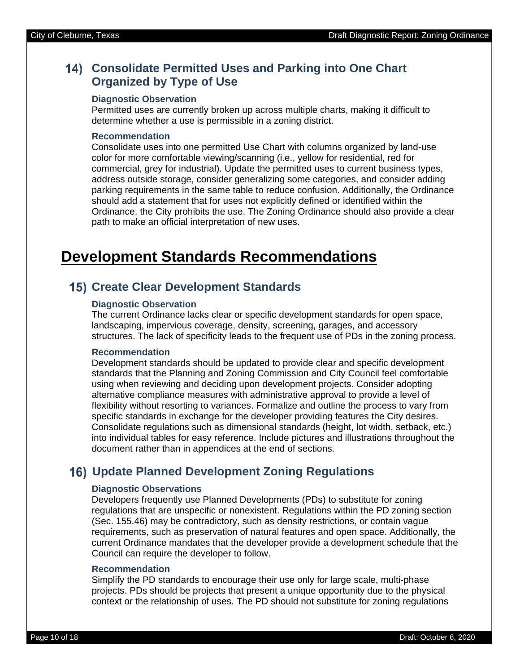### **Consolidate Permitted Uses and Parking into One Chart Organized by Type of Use**

#### **Diagnostic Observation**

Permitted uses are currently broken up across multiple charts, making it difficult to determine whether a use is permissible in a zoning district.

#### **Recommendation**

Consolidate uses into one permitted Use Chart with columns organized by land-use color for more comfortable viewing/scanning (i.e., yellow for residential, red for commercial, grey for industrial). Update the permitted uses to current business types, address outside storage, consider generalizing some categories, and consider adding parking requirements in the same table to reduce confusion. Additionally, the Ordinance should add a statement that for uses not explicitly defined or identified within the Ordinance, the City prohibits the use. The Zoning Ordinance should also provide a clear path to make an official interpretation of new uses.

## **Development Standards Recommendations**

### **Create Clear Development Standards**

#### **Diagnostic Observation**

The current Ordinance lacks clear or specific development standards for open space, landscaping, impervious coverage, density, screening, garages, and accessory structures. The lack of specificity leads to the frequent use of PDs in the zoning process.

#### **Recommendation**

Development standards should be updated to provide clear and specific development standards that the Planning and Zoning Commission and City Council feel comfortable using when reviewing and deciding upon development projects. Consider adopting alternative compliance measures with administrative approval to provide a level of flexibility without resorting to variances. Formalize and outline the process to vary from specific standards in exchange for the developer providing features the City desires. Consolidate regulations such as dimensional standards (height, lot width, setback, etc.) into individual tables for easy reference. Include pictures and illustrations throughout the document rather than in appendices at the end of sections.

### **Update Planned Development Zoning Regulations**

#### **Diagnostic Observations**

Developers frequently use Planned Developments (PDs) to substitute for zoning regulations that are unspecific or nonexistent. Regulations within the PD zoning section (Sec. 155.46) may be contradictory, such as density restrictions, or contain vague requirements, such as preservation of natural features and open space. Additionally, the current Ordinance mandates that the developer provide a development schedule that the Council can require the developer to follow.

#### **Recommendation**

Simplify the PD standards to encourage their use only for large scale, multi-phase projects. PDs should be projects that present a unique opportunity due to the physical context or the relationship of uses. The PD should not substitute for zoning regulations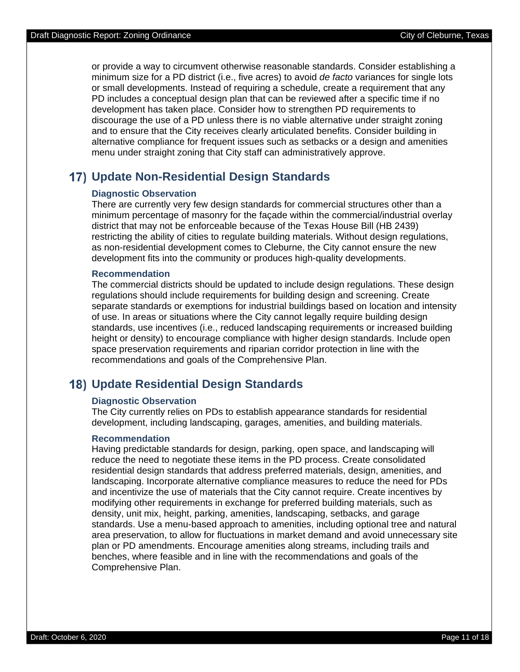or provide a way to circumvent otherwise reasonable standards. Consider establishing a minimum size for a PD district (i.e., five acres) to avoid *de facto* variances for single lots or small developments. Instead of requiring a schedule, create a requirement that any PD includes a conceptual design plan that can be reviewed after a specific time if no development has taken place. Consider how to strengthen PD requirements to discourage the use of a PD unless there is no viable alternative under straight zoning and to ensure that the City receives clearly articulated benefits. Consider building in alternative compliance for frequent issues such as setbacks or a design and amenities menu under straight zoning that City staff can administratively approve.

### **Update Non-Residential Design Standards**

#### **Diagnostic Observation**

There are currently very few design standards for commercial structures other than a minimum percentage of masonry for the façade within the commercial/industrial overlay district that may not be enforceable because of the Texas House Bill (HB 2439) restricting the ability of cities to regulate building materials. Without design regulations, as non-residential development comes to Cleburne, the City cannot ensure the new development fits into the community or produces high-quality developments.

#### **Recommendation**

The commercial districts should be updated to include design regulations. These design regulations should include requirements for building design and screening. Create separate standards or exemptions for industrial buildings based on location and intensity of use. In areas or situations where the City cannot legally require building design standards, use incentives (i.e., reduced landscaping requirements or increased building height or density) to encourage compliance with higher design standards. Include open space preservation requirements and riparian corridor protection in line with the recommendations and goals of the Comprehensive Plan.

### **Update Residential Design Standards**

#### **Diagnostic Observation**

The City currently relies on PDs to establish appearance standards for residential development, including landscaping, garages, amenities, and building materials.

#### **Recommendation**

Having predictable standards for design, parking, open space, and landscaping will reduce the need to negotiate these items in the PD process. Create consolidated residential design standards that address preferred materials, design, amenities, and landscaping. Incorporate alternative compliance measures to reduce the need for PDs and incentivize the use of materials that the City cannot require. Create incentives by modifying other requirements in exchange for preferred building materials, such as density, unit mix, height, parking, amenities, landscaping, setbacks, and garage standards. Use a menu-based approach to amenities, including optional tree and natural area preservation, to allow for fluctuations in market demand and avoid unnecessary site plan or PD amendments. Encourage amenities along streams, including trails and benches, where feasible and in line with the recommendations and goals of the Comprehensive Plan.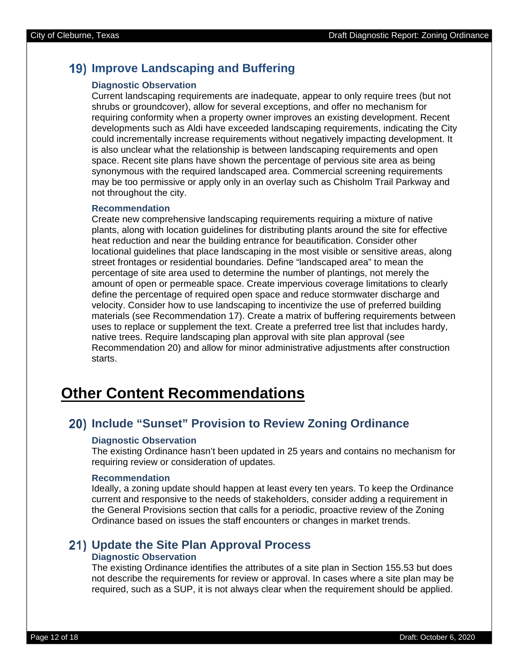### **Improve Landscaping and Buffering**

#### **Diagnostic Observation**

Current landscaping requirements are inadequate, appear to only require trees (but not shrubs or groundcover), allow for several exceptions, and offer no mechanism for requiring conformity when a property owner improves an existing development. Recent developments such as Aldi have exceeded landscaping requirements, indicating the City could incrementally increase requirements without negatively impacting development. It is also unclear what the relationship is between landscaping requirements and open space. Recent site plans have shown the percentage of pervious site area as being synonymous with the required landscaped area. Commercial screening requirements may be too permissive or apply only in an overlay such as Chisholm Trail Parkway and not throughout the city.

#### **Recommendation**

Create new comprehensive landscaping requirements requiring a mixture of native plants, along with location guidelines for distributing plants around the site for effective heat reduction and near the building entrance for beautification. Consider other locational guidelines that place landscaping in the most visible or sensitive areas, along street frontages or residential boundaries. Define "landscaped area" to mean the percentage of site area used to determine the number of plantings, not merely the amount of open or permeable space. Create impervious coverage limitations to clearly define the percentage of required open space and reduce stormwater discharge and velocity. Consider how to use landscaping to incentivize the use of preferred building materials (see Recommendation 17). Create a matrix of buffering requirements between uses to replace or supplement the text. Create a preferred tree list that includes hardy, native trees. Require landscaping plan approval with site plan approval (see Recommendation 20) and allow for minor administrative adjustments after construction starts.

## **Other Content Recommendations**

### **Include "Sunset" Provision to Review Zoning Ordinance**

#### **Diagnostic Observation**

The existing Ordinance hasn't been updated in 25 years and contains no mechanism for requiring review or consideration of updates.

#### **Recommendation**

Ideally, a zoning update should happen at least every ten years. To keep the Ordinance current and responsive to the needs of stakeholders, consider adding a requirement in the General Provisions section that calls for a periodic, proactive review of the Zoning Ordinance based on issues the staff encounters or changes in market trends.

### **Update the Site Plan Approval Process**

#### **Diagnostic Observation**

The existing Ordinance identifies the attributes of a site plan in Section 155.53 but does not describe the requirements for review or approval. In cases where a site plan may be required, such as a SUP, it is not always clear when the requirement should be applied.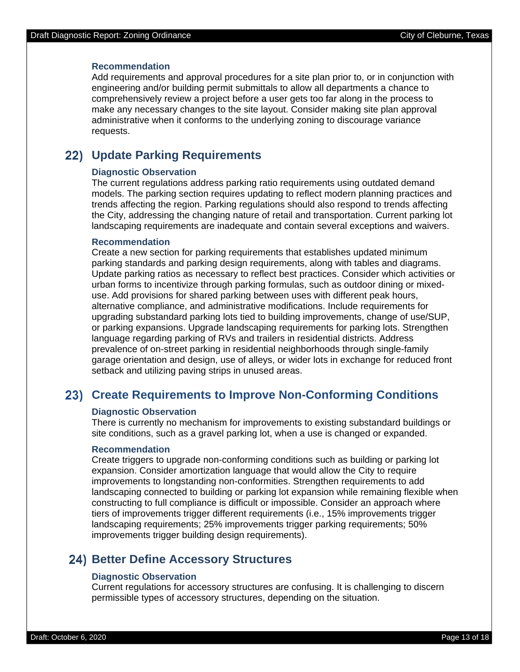Add requirements and approval procedures for a site plan prior to, or in conjunction with engineering and/or building permit submittals to allow all departments a chance to comprehensively review a project before a user gets too far along in the process to make any necessary changes to the site layout. Consider making site plan approval administrative when it conforms to the underlying zoning to discourage variance requests.

### **Update Parking Requirements**

#### **Diagnostic Observation**

The current regulations address parking ratio requirements using outdated demand models. The parking section requires updating to reflect modern planning practices and trends affecting the region. Parking regulations should also respond to trends affecting the City, addressing the changing nature of retail and transportation. Current parking lot landscaping requirements are inadequate and contain several exceptions and waivers.

#### **Recommendation**

Create a new section for parking requirements that establishes updated minimum parking standards and parking design requirements, along with tables and diagrams. Update parking ratios as necessary to reflect best practices. Consider which activities or urban forms to incentivize through parking formulas, such as outdoor dining or mixeduse. Add provisions for shared parking between uses with different peak hours, alternative compliance, and administrative modifications. Include requirements for upgrading substandard parking lots tied to building improvements, change of use/SUP, or parking expansions. Upgrade landscaping requirements for parking lots. Strengthen language regarding parking of RVs and trailers in residential districts. Address prevalence of on-street parking in residential neighborhoods through single-family garage orientation and design, use of alleys, or wider lots in exchange for reduced front setback and utilizing paving strips in unused areas.

### **Create Requirements to Improve Non-Conforming Conditions**

#### **Diagnostic Observation**

There is currently no mechanism for improvements to existing substandard buildings or site conditions, such as a gravel parking lot, when a use is changed or expanded.

#### **Recommendation**

Create triggers to upgrade non-conforming conditions such as building or parking lot expansion. Consider amortization language that would allow the City to require improvements to longstanding non-conformities. Strengthen requirements to add landscaping connected to building or parking lot expansion while remaining flexible when constructing to full compliance is difficult or impossible. Consider an approach where tiers of improvements trigger different requirements (i.e., 15% improvements trigger landscaping requirements; 25% improvements trigger parking requirements; 50% improvements trigger building design requirements).

### **24) Better Define Accessory Structures**

#### **Diagnostic Observation**

Current regulations for accessory structures are confusing. It is challenging to discern permissible types of accessory structures, depending on the situation.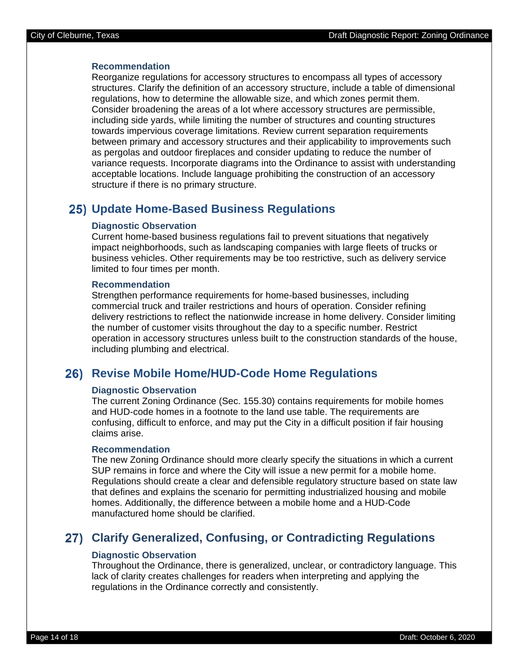Reorganize regulations for accessory structures to encompass all types of accessory structures. Clarify the definition of an accessory structure, include a table of dimensional regulations, how to determine the allowable size, and which zones permit them. Consider broadening the areas of a lot where accessory structures are permissible, including side yards, while limiting the number of structures and counting structures towards impervious coverage limitations. Review current separation requirements between primary and accessory structures and their applicability to improvements such as pergolas and outdoor fireplaces and consider updating to reduce the number of variance requests. Incorporate diagrams into the Ordinance to assist with understanding acceptable locations. Include language prohibiting the construction of an accessory structure if there is no primary structure.

### **Update Home-Based Business Regulations**

#### **Diagnostic Observation**

Current home-based business regulations fail to prevent situations that negatively impact neighborhoods, such as landscaping companies with large fleets of trucks or business vehicles. Other requirements may be too restrictive, such as delivery service limited to four times per month.

#### **Recommendation**

Strengthen performance requirements for home-based businesses, including commercial truck and trailer restrictions and hours of operation. Consider refining delivery restrictions to reflect the nationwide increase in home delivery. Consider limiting the number of customer visits throughout the day to a specific number. Restrict operation in accessory structures unless built to the construction standards of the house, including plumbing and electrical.

### **Revise Mobile Home/HUD-Code Home Regulations**

#### **Diagnostic Observation**

The current Zoning Ordinance (Sec. 155.30) contains requirements for mobile homes and HUD-code homes in a footnote to the land use table. The requirements are confusing, difficult to enforce, and may put the City in a difficult position if fair housing claims arise.

#### **Recommendation**

The new Zoning Ordinance should more clearly specify the situations in which a current SUP remains in force and where the City will issue a new permit for a mobile home. Regulations should create a clear and defensible regulatory structure based on state law that defines and explains the scenario for permitting industrialized housing and mobile homes. Additionally, the difference between a mobile home and a HUD-Code manufactured home should be clarified.

### **Clarify Generalized, Confusing, or Contradicting Regulations**

#### **Diagnostic Observation**

Throughout the Ordinance, there is generalized, unclear, or contradictory language. This lack of clarity creates challenges for readers when interpreting and applying the regulations in the Ordinance correctly and consistently.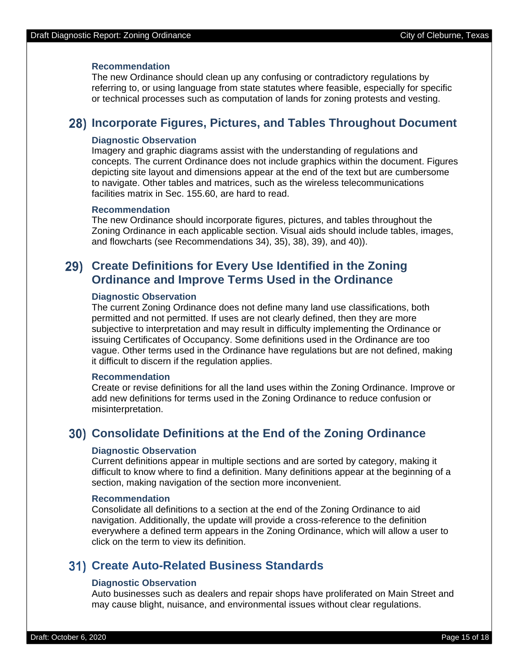The new Ordinance should clean up any confusing or contradictory regulations by referring to, or using language from state statutes where feasible, especially for specific or technical processes such as computation of lands for zoning protests and vesting.

### **Incorporate Figures, Pictures, and Tables Throughout Document**

#### **Diagnostic Observation**

Imagery and graphic diagrams assist with the understanding of regulations and concepts. The current Ordinance does not include graphics within the document. Figures depicting site layout and dimensions appear at the end of the text but are cumbersome to navigate. Other tables and matrices, such as the wireless telecommunications facilities matrix in Sec. 155.60, are hard to read.

#### **Recommendation**

The new Ordinance should incorporate figures, pictures, and tables throughout the Zoning Ordinance in each applicable section. Visual aids should include tables, images, and flowcharts (see Recommendations 34), 35), 38), 39), and 40)).

### **Create Definitions for Every Use Identified in the Zoning Ordinance and Improve Terms Used in the Ordinance**

#### **Diagnostic Observation**

The current Zoning Ordinance does not define many land use classifications, both permitted and not permitted. If uses are not clearly defined, then they are more subjective to interpretation and may result in difficulty implementing the Ordinance or issuing Certificates of Occupancy. Some definitions used in the Ordinance are too vague. Other terms used in the Ordinance have regulations but are not defined, making it difficult to discern if the regulation applies.

#### **Recommendation**

Create or revise definitions for all the land uses within the Zoning Ordinance. Improve or add new definitions for terms used in the Zoning Ordinance to reduce confusion or misinterpretation.

### **Consolidate Definitions at the End of the Zoning Ordinance**

#### **Diagnostic Observation**

Current definitions appear in multiple sections and are sorted by category, making it difficult to know where to find a definition. Many definitions appear at the beginning of a section, making navigation of the section more inconvenient.

#### **Recommendation**

Consolidate all definitions to a section at the end of the Zoning Ordinance to aid navigation. Additionally, the update will provide a cross-reference to the definition everywhere a defined term appears in the Zoning Ordinance, which will allow a user to click on the term to view its definition.

### **Create Auto-Related Business Standards**

#### **Diagnostic Observation**

Auto businesses such as dealers and repair shops have proliferated on Main Street and may cause blight, nuisance, and environmental issues without clear regulations.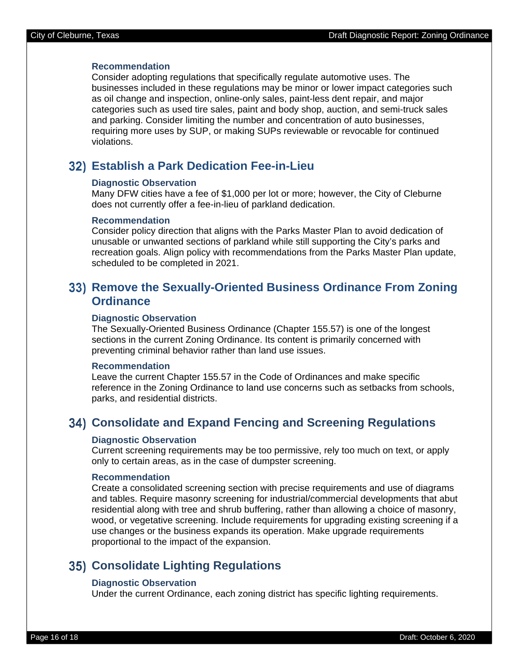Consider adopting regulations that specifically regulate automotive uses. The businesses included in these regulations may be minor or lower impact categories such as oil change and inspection, online-only sales, paint-less dent repair, and major categories such as used tire sales, paint and body shop, auction, and semi-truck sales and parking. Consider limiting the number and concentration of auto businesses, requiring more uses by SUP, or making SUPs reviewable or revocable for continued violations.

### **Establish a Park Dedication Fee-in-Lieu**

#### **Diagnostic Observation**

Many DFW cities have a fee of \$1,000 per lot or more; however, the City of Cleburne does not currently offer a fee-in-lieu of parkland dedication.

#### **Recommendation**

Consider policy direction that aligns with the Parks Master Plan to avoid dedication of unusable or unwanted sections of parkland while still supporting the City's parks and recreation goals. Align policy with recommendations from the Parks Master Plan update, scheduled to be completed in 2021.

### **33) Remove the Sexually-Oriented Business Ordinance From Zoning Ordinance**

#### **Diagnostic Observation**

The Sexually-Oriented Business Ordinance (Chapter 155.57) is one of the longest sections in the current Zoning Ordinance. Its content is primarily concerned with preventing criminal behavior rather than land use issues.

#### **Recommendation**

Leave the current Chapter 155.57 in the Code of Ordinances and make specific reference in the Zoning Ordinance to land use concerns such as setbacks from schools, parks, and residential districts.

### **Consolidate and Expand Fencing and Screening Regulations**

#### **Diagnostic Observation**

Current screening requirements may be too permissive, rely too much on text, or apply only to certain areas, as in the case of dumpster screening.

#### **Recommendation**

Create a consolidated screening section with precise requirements and use of diagrams and tables. Require masonry screening for industrial/commercial developments that abut residential along with tree and shrub buffering, rather than allowing a choice of masonry, wood, or vegetative screening. Include requirements for upgrading existing screening if a use changes or the business expands its operation. Make upgrade requirements proportional to the impact of the expansion.

### **Consolidate Lighting Regulations**

#### **Diagnostic Observation**

Under the current Ordinance, each zoning district has specific lighting requirements.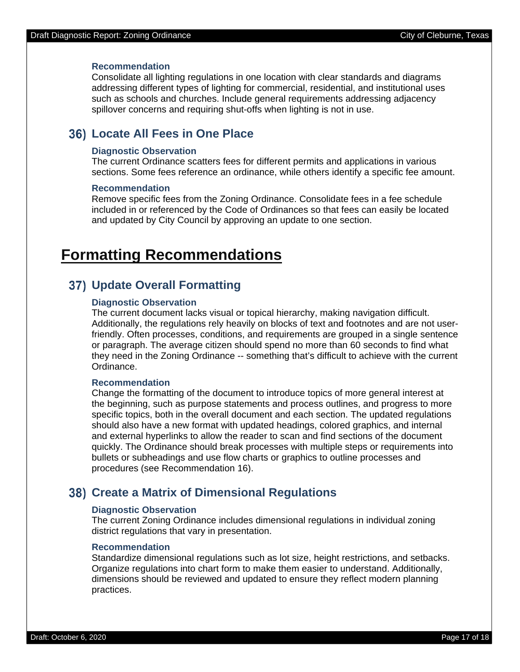Consolidate all lighting regulations in one location with clear standards and diagrams addressing different types of lighting for commercial, residential, and institutional uses such as schools and churches. Include general requirements addressing adjacency spillover concerns and requiring shut-offs when lighting is not in use.

### **Locate All Fees in One Place**

#### **Diagnostic Observation**

The current Ordinance scatters fees for different permits and applications in various sections. Some fees reference an ordinance, while others identify a specific fee amount.

#### **Recommendation**

Remove specific fees from the Zoning Ordinance. Consolidate fees in a fee schedule included in or referenced by the Code of Ordinances so that fees can easily be located and updated by City Council by approving an update to one section.

## **Formatting Recommendations**

### **Update Overall Formatting**

#### **Diagnostic Observation**

The current document lacks visual or topical hierarchy, making navigation difficult. Additionally, the regulations rely heavily on blocks of text and footnotes and are not userfriendly. Often processes, conditions, and requirements are grouped in a single sentence or paragraph. The average citizen should spend no more than 60 seconds to find what they need in the Zoning Ordinance -- something that's difficult to achieve with the current Ordinance.

#### **Recommendation**

Change the formatting of the document to introduce topics of more general interest at the beginning, such as purpose statements and process outlines, and progress to more specific topics, both in the overall document and each section. The updated regulations should also have a new format with updated headings, colored graphics, and internal and external hyperlinks to allow the reader to scan and find sections of the document quickly. The Ordinance should break processes with multiple steps or requirements into bullets or subheadings and use flow charts or graphics to outline processes and procedures (see Recommendation 16).

### **Create a Matrix of Dimensional Regulations**

#### **Diagnostic Observation**

The current Zoning Ordinance includes dimensional regulations in individual zoning district regulations that vary in presentation.

#### **Recommendation**

Standardize dimensional regulations such as lot size, height restrictions, and setbacks. Organize regulations into chart form to make them easier to understand. Additionally, dimensions should be reviewed and updated to ensure they reflect modern planning practices.